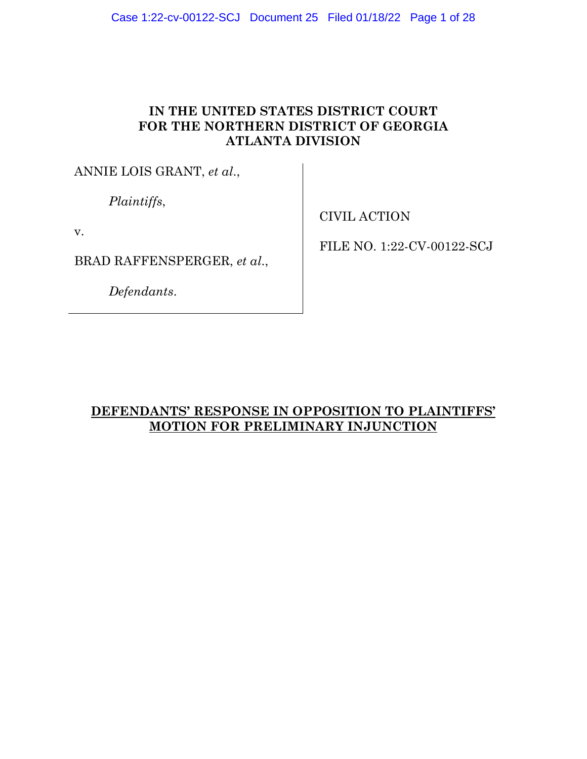# **IN THE UNITED STATES DISTRICT COURT FOR THE NORTHERN DISTRICT OF GEORGIA ATLANTA DIVISION**

ANNIE LOIS GRANT, *et al*.,

*Plaintiffs*,

v.

BRAD RAFFENSPERGER, *et al*.,

*Defendants*.

CIVIL ACTION

FILE NO. 1:22-CV-00122-SCJ

# **DEFENDANTS' RESPONSE IN OPPOSITION TO PLAINTIFFS' MOTION FOR PRELIMINARY INJUNCTION**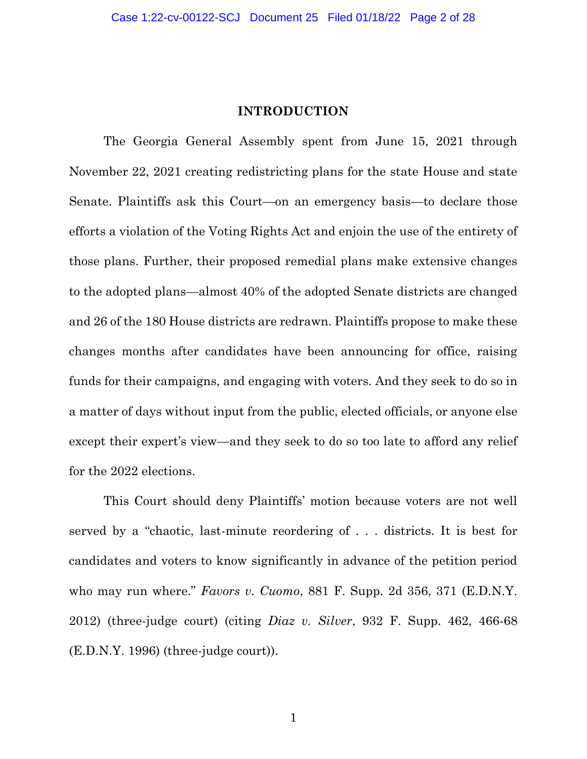### **INTRODUCTION**

The Georgia General Assembly spent from June 15, 2021 through November 22, 2021 creating redistricting plans for the state House and state Senate. Plaintiffs ask this Court—on an emergency basis—to declare those efforts a violation of the Voting Rights Act and enjoin the use of the entirety of those plans. Further, their proposed remedial plans make extensive changes to the adopted plans—almost 40% of the adopted Senate districts are changed and 26 of the 180 House districts are redrawn. Plaintiffs propose to make these changes months after candidates have been announcing for office, raising funds for their campaigns, and engaging with voters. And they seek to do so in a matter of days without input from the public, elected officials, or anyone else except their expert's view—and they seek to do so too late to afford any relief for the 2022 elections.

This Court should deny Plaintiffs' motion because voters are not well served by a "chaotic, last-minute reordering of . . . districts. It is best for candidates and voters to know significantly in advance of the petition period who may run where." *Favors v. Cuomo*, 881 F. Supp. 2d 356, 371 (E.D.N.Y. 2012) (three-judge court) (citing *Diaz v. Silver*, 932 F. Supp. 462, 466-68 (E.D.N.Y. 1996) (three-judge court)).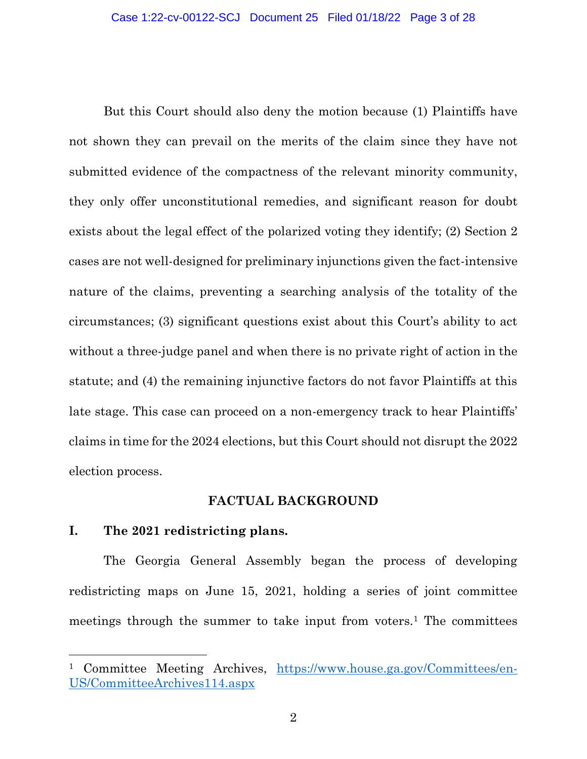But this Court should also deny the motion because (1) Plaintiffs have not shown they can prevail on the merits of the claim since they have not submitted evidence of the compactness of the relevant minority community, they only offer unconstitutional remedies, and significant reason for doubt exists about the legal effect of the polarized voting they identify; (2) Section 2 cases are not well-designed for preliminary injunctions given the fact-intensive nature of the claims, preventing a searching analysis of the totality of the circumstances; (3) significant questions exist about this Court's ability to act without a three-judge panel and when there is no private right of action in the statute; and (4) the remaining injunctive factors do not favor Plaintiffs at this late stage. This case can proceed on a non-emergency track to hear Plaintiffs' claims in time for the 2024 elections, but this Court should not disrupt the 2022 election process.

### **FACTUAL BACKGROUND**

### **I. The 2021 redistricting plans.**

The Georgia General Assembly began the process of developing redistricting maps on June 15, 2021, holding a series of joint committee meetings through the summer to take input from voters.<sup>1</sup> The committees

<sup>&</sup>lt;sup>1</sup> Committee Meeting Archives, [https://www.house.ga.gov/Committees/en-](https://www.house.ga.gov/Committees/en-US/CommitteeArchives114.aspx)[US/CommitteeArchives114.aspx](https://www.house.ga.gov/Committees/en-US/CommitteeArchives114.aspx)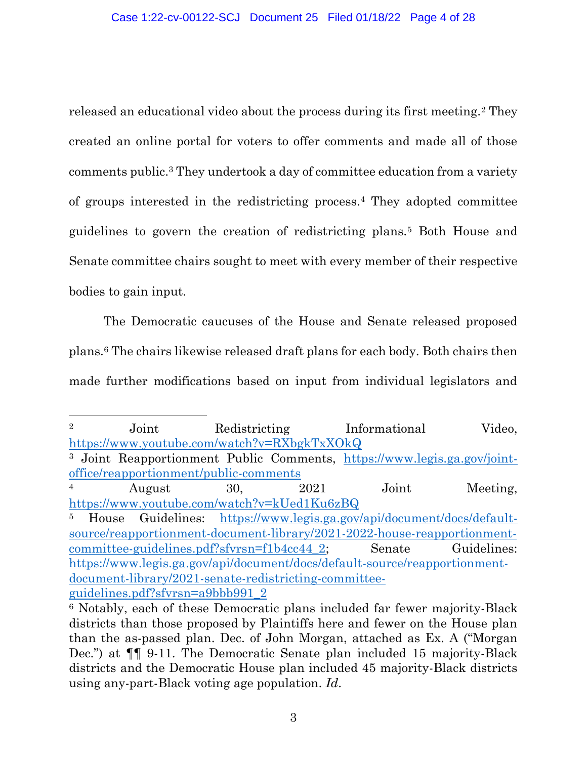released an educational video about the process during its first meeting.<sup>2</sup> They created an online portal for voters to offer comments and made all of those comments public.<sup>3</sup> They undertook a day of committee education from a variety of groups interested in the redistricting process.<sup>4</sup> They adopted committee guidelines to govern the creation of redistricting plans.<sup>5</sup> Both House and Senate committee chairs sought to meet with every member of their respective bodies to gain input.

The Democratic caucuses of the House and Senate released proposed plans.<sup>6</sup> The chairs likewise released draft plans for each body. Both chairs then made further modifications based on input from individual legislators and

<sup>5</sup> House Guidelines: [https://www.legis.ga.gov/api/document/docs/default](https://www.legis.ga.gov/api/document/docs/default-source/reapportionment-document-library/2021-2022-house-reapportionment-committee-guidelines.pdf?sfvrsn=f1b4cc44_2)[source/reapportionment-document-library/2021-2022-house-reapportionment](https://www.legis.ga.gov/api/document/docs/default-source/reapportionment-document-library/2021-2022-house-reapportionment-committee-guidelines.pdf?sfvrsn=f1b4cc44_2)[committee-guidelines.pdf?sfvrsn=f1b4cc44\\_2;](https://www.legis.ga.gov/api/document/docs/default-source/reapportionment-document-library/2021-2022-house-reapportionment-committee-guidelines.pdf?sfvrsn=f1b4cc44_2) Senate Guidelines: [https://www.legis.ga.gov/api/document/docs/default-source/reapportionment](https://www.legis.ga.gov/api/document/docs/default-source/reapportionment-document-library/2021-senate-redistricting-committee-guidelines.pdf?sfvrsn=a9bbb991_2)[document-library/2021-senate-redistricting-committee](https://www.legis.ga.gov/api/document/docs/default-source/reapportionment-document-library/2021-senate-redistricting-committee-guidelines.pdf?sfvrsn=a9bbb991_2)[guidelines.pdf?sfvrsn=a9bbb991\\_2](https://www.legis.ga.gov/api/document/docs/default-source/reapportionment-document-library/2021-senate-redistricting-committee-guidelines.pdf?sfvrsn=a9bbb991_2)

<sup>&</sup>lt;sup>2</sup> Joint Redistricting Informational Video, <https://www.youtube.com/watch?v=RXbgkTxXOkQ>

<sup>3</sup> Joint Reapportionment Public Comments, [https://www.legis.ga.gov/joint](https://www.legis.ga.gov/joint-office/reapportionment/public-comments)[office/reapportionment/public-comments](https://www.legis.ga.gov/joint-office/reapportionment/public-comments)

<sup>&</sup>lt;sup>4</sup> August 30, 2021 Joint Meeting, <https://www.youtube.com/watch?v=kUed1Ku6zBQ>

<sup>6</sup> Notably, each of these Democratic plans included far fewer majority-Black districts than those proposed by Plaintiffs here and fewer on the House plan than the as-passed plan. Dec. of John Morgan, attached as Ex. A ("Morgan Dec.") at ¶¶ 9-11. The Democratic Senate plan included 15 majority-Black districts and the Democratic House plan included 45 majority-Black districts using any-part-Black voting age population. *Id*.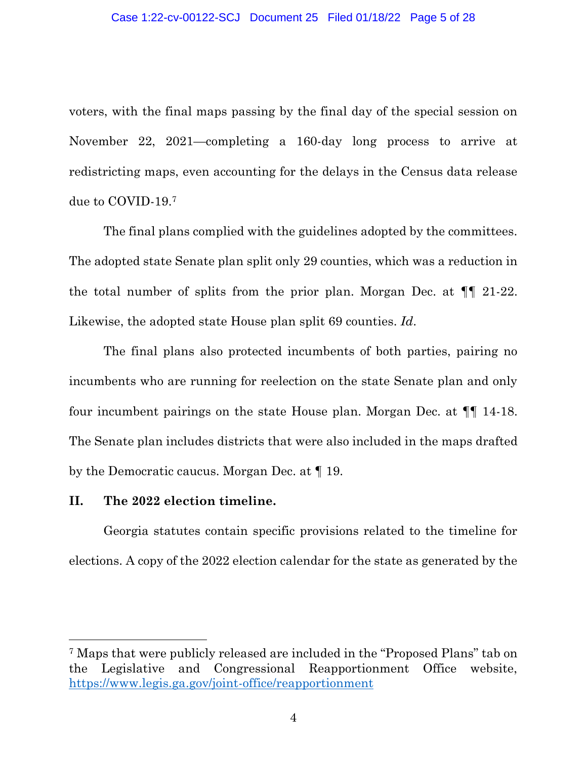voters, with the final maps passing by the final day of the special session on November 22, 2021—completing a 160-day long process to arrive at redistricting maps, even accounting for the delays in the Census data release due to COVID-19.<sup>7</sup>

The final plans complied with the guidelines adopted by the committees. The adopted state Senate plan split only 29 counties, which was a reduction in the total number of splits from the prior plan. Morgan Dec. at ¶¶ 21-22. Likewise, the adopted state House plan split 69 counties. *Id*.

The final plans also protected incumbents of both parties, pairing no incumbents who are running for reelection on the state Senate plan and only four incumbent pairings on the state House plan. Morgan Dec. at ¶¶ 14-18. The Senate plan includes districts that were also included in the maps drafted by the Democratic caucus. Morgan Dec. at ¶ 19.

### **II. The 2022 election timeline.**

Georgia statutes contain specific provisions related to the timeline for elections. A copy of the 2022 election calendar for the state as generated by the

<sup>7</sup> Maps that were publicly released are included in the "Proposed Plans" tab on the Legislative and Congressional Reapportionment Office website, <https://www.legis.ga.gov/joint-office/reapportionment>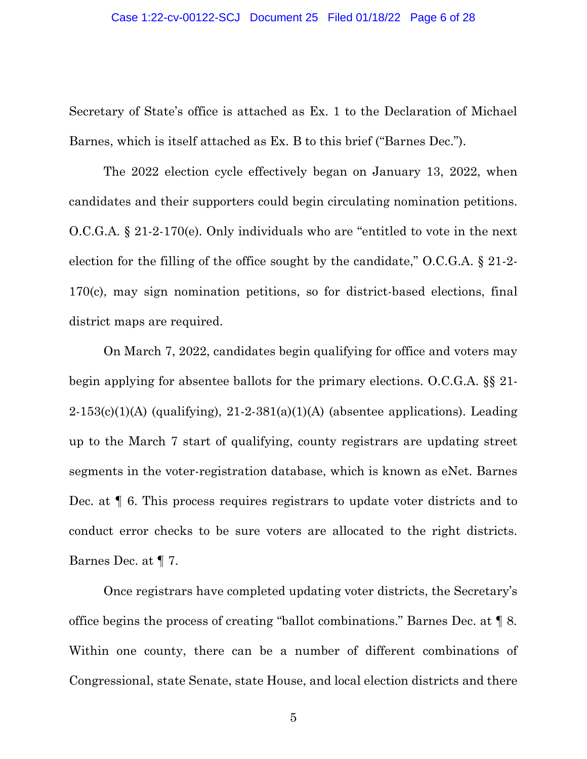#### Case 1:22-cv-00122-SCJ Document 25 Filed 01/18/22 Page 6 of 28

Secretary of State's office is attached as Ex. 1 to the Declaration of Michael Barnes, which is itself attached as Ex. B to this brief ("Barnes Dec.").

The 2022 election cycle effectively began on January 13, 2022, when candidates and their supporters could begin circulating nomination petitions. O.C.G.A. § 21-2-170(e). Only individuals who are "entitled to vote in the next election for the filling of the office sought by the candidate," O.C.G.A. § 21-2- 170(c), may sign nomination petitions, so for district-based elections, final district maps are required.

On March 7, 2022, candidates begin qualifying for office and voters may begin applying for absentee ballots for the primary elections. O.C.G.A. §§ 21-  $2-153(c)(1)(A)$  (qualifying),  $21-2-381(a)(1)(A)$  (absentee applications). Leading up to the March 7 start of qualifying, county registrars are updating street segments in the voter-registration database, which is known as eNet. Barnes Dec. at ¶ 6. This process requires registrars to update voter districts and to conduct error checks to be sure voters are allocated to the right districts. Barnes Dec. at ¶ 7.

Once registrars have completed updating voter districts, the Secretary's office begins the process of creating "ballot combinations." Barnes Dec. at ¶ 8. Within one county, there can be a number of different combinations of Congressional, state Senate, state House, and local election districts and there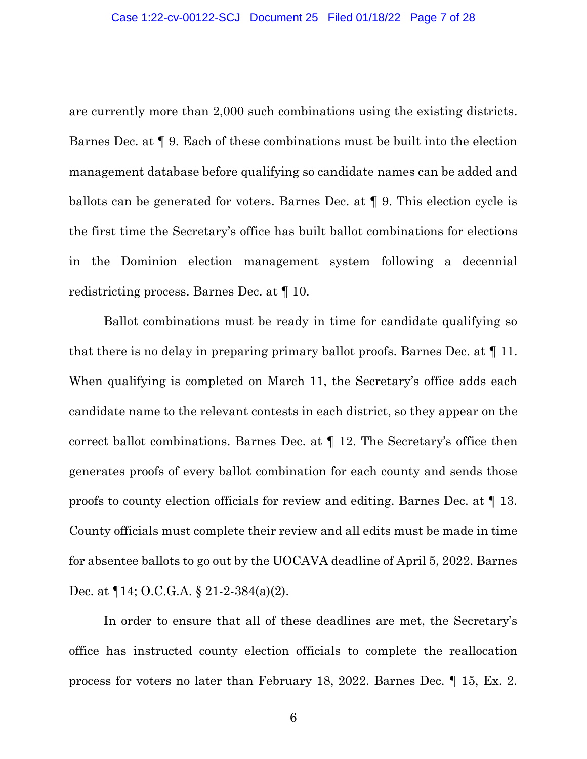are currently more than 2,000 such combinations using the existing districts. Barnes Dec. at ¶ 9. Each of these combinations must be built into the election management database before qualifying so candidate names can be added and ballots can be generated for voters. Barnes Dec. at ¶ 9. This election cycle is the first time the Secretary's office has built ballot combinations for elections in the Dominion election management system following a decennial redistricting process. Barnes Dec. at ¶ 10.

Ballot combinations must be ready in time for candidate qualifying so that there is no delay in preparing primary ballot proofs. Barnes Dec. at ¶ 11. When qualifying is completed on March 11, the Secretary's office adds each candidate name to the relevant contests in each district, so they appear on the correct ballot combinations. Barnes Dec. at ¶ 12. The Secretary's office then generates proofs of every ballot combination for each county and sends those proofs to county election officials for review and editing. Barnes Dec. at ¶ 13. County officials must complete their review and all edits must be made in time for absentee ballots to go out by the UOCAVA deadline of April 5, 2022. Barnes Dec. at ¶14; O.C.G.A. § 21-2-384(a)(2).

In order to ensure that all of these deadlines are met, the Secretary's office has instructed county election officials to complete the reallocation process for voters no later than February 18, 2022. Barnes Dec. ¶ 15, Ex. 2.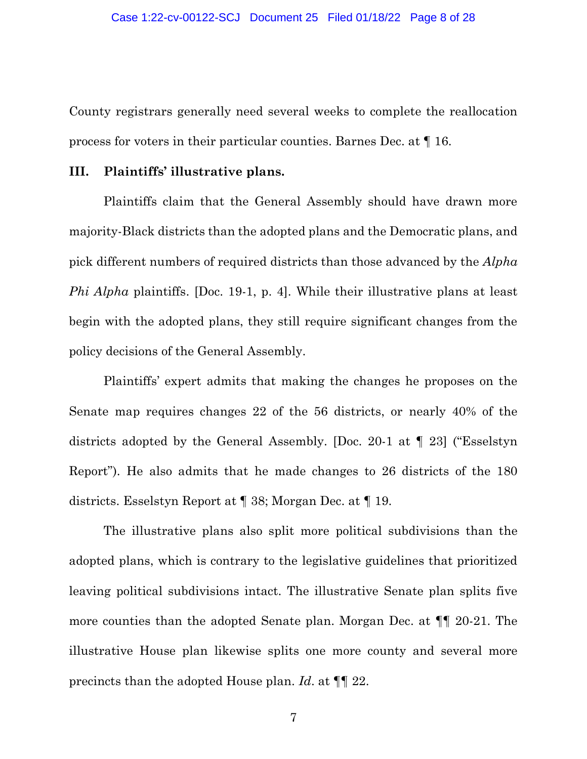County registrars generally need several weeks to complete the reallocation process for voters in their particular counties. Barnes Dec. at ¶ 16.

### **III. Plaintiffs' illustrative plans.**

Plaintiffs claim that the General Assembly should have drawn more majority-Black districts than the adopted plans and the Democratic plans, and pick different numbers of required districts than those advanced by the *Alpha Phi Alpha* plaintiffs. [Doc. 19-1, p. 4]. While their illustrative plans at least begin with the adopted plans, they still require significant changes from the policy decisions of the General Assembly.

Plaintiffs' expert admits that making the changes he proposes on the Senate map requires changes 22 of the 56 districts, or nearly 40% of the districts adopted by the General Assembly. [Doc. 20-1 at ¶ 23] ("Esselstyn Report"). He also admits that he made changes to 26 districts of the 180 districts. Esselstyn Report at ¶ 38; Morgan Dec. at ¶ 19.

The illustrative plans also split more political subdivisions than the adopted plans, which is contrary to the legislative guidelines that prioritized leaving political subdivisions intact. The illustrative Senate plan splits five more counties than the adopted Senate plan. Morgan Dec. at ¶¶ 20-21. The illustrative House plan likewise splits one more county and several more precincts than the adopted House plan. *Id*. at ¶¶ 22.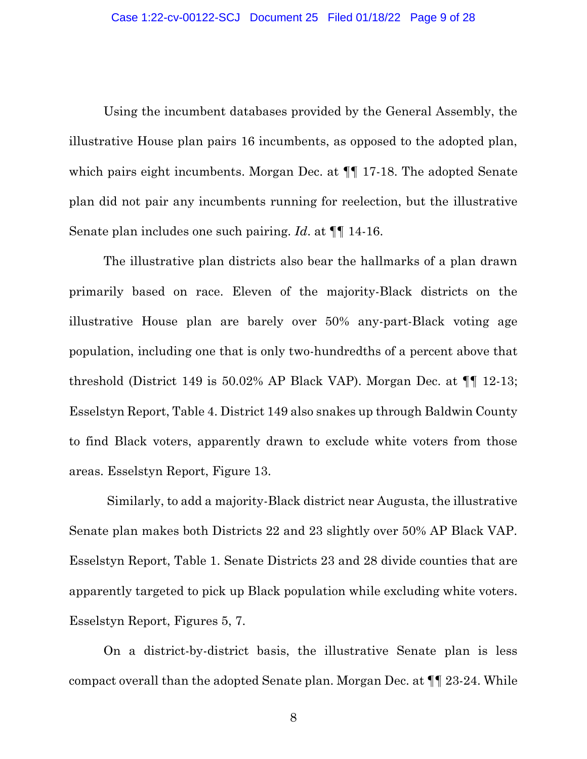Using the incumbent databases provided by the General Assembly, the illustrative House plan pairs 16 incumbents, as opposed to the adopted plan, which pairs eight incumbents. Morgan Dec. at ¶¶ 17-18. The adopted Senate plan did not pair any incumbents running for reelection, but the illustrative Senate plan includes one such pairing. *Id*. at ¶¶ 14-16.

The illustrative plan districts also bear the hallmarks of a plan drawn primarily based on race. Eleven of the majority-Black districts on the illustrative House plan are barely over 50% any-part-Black voting age population, including one that is only two-hundredths of a percent above that threshold (District 149 is 50.02% AP Black VAP). Morgan Dec. at ¶¶ 12-13; Esselstyn Report, Table 4. District 149 also snakes up through Baldwin County to find Black voters, apparently drawn to exclude white voters from those areas. Esselstyn Report, Figure 13.

Similarly, to add a majority-Black district near Augusta, the illustrative Senate plan makes both Districts 22 and 23 slightly over 50% AP Black VAP. Esselstyn Report, Table 1. Senate Districts 23 and 28 divide counties that are apparently targeted to pick up Black population while excluding white voters. Esselstyn Report, Figures 5, 7.

On a district-by-district basis, the illustrative Senate plan is less compact overall than the adopted Senate plan. Morgan Dec. at ¶¶ 23-24. While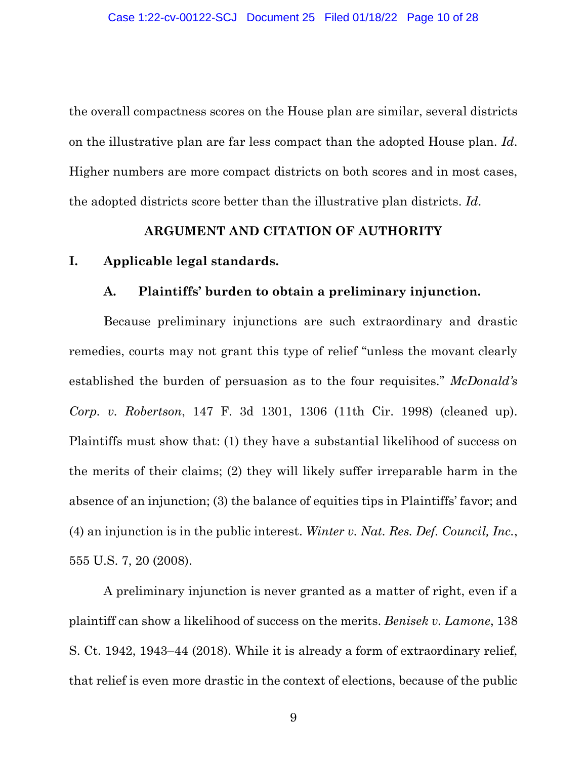the overall compactness scores on the House plan are similar, several districts on the illustrative plan are far less compact than the adopted House plan. *Id*. Higher numbers are more compact districts on both scores and in most cases, the adopted districts score better than the illustrative plan districts. *Id*.

### **ARGUMENT AND CITATION OF AUTHORITY**

### **I. Applicable legal standards.**

### **A. Plaintiffs' burden to obtain a preliminary injunction.**

Because preliminary injunctions are such extraordinary and drastic remedies, courts may not grant this type of relief "unless the movant clearly established the burden of persuasion as to the four requisites." *McDonald's Corp. v. Robertson*, 147 F. 3d 1301, 1306 (11th Cir. 1998) (cleaned up). Plaintiffs must show that: (1) they have a substantial likelihood of success on the merits of their claims; (2) they will likely suffer irreparable harm in the absence of an injunction; (3) the balance of equities tips in Plaintiffs' favor; and (4) an injunction is in the public interest. *Winter v. Nat. Res. Def. Council, Inc.*, 555 U.S. 7, 20 (2008).

A preliminary injunction is never granted as a matter of right, even if a plaintiff can show a likelihood of success on the merits. *Benisek v. Lamone*, 138 S. Ct. 1942, 1943–44 (2018). While it is already a form of extraordinary relief, that relief is even more drastic in the context of elections, because of the public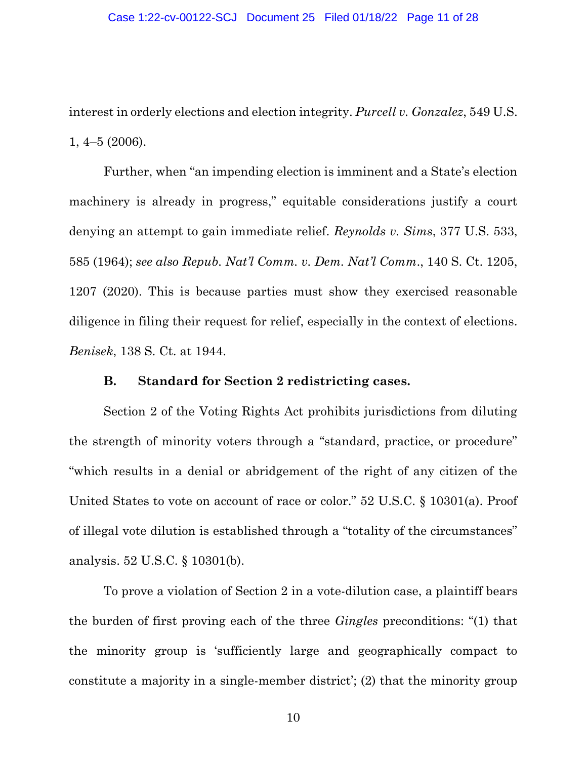interest in orderly elections and election integrity. *Purcell v. Gonzalez*, 549 U.S. 1, 4–5 (2006).

Further, when "an impending election is imminent and a State's election machinery is already in progress," equitable considerations justify a court denying an attempt to gain immediate relief. *Reynolds v. Sims*, 377 U.S. 533, 585 (1964); *see also Repub. Nat'l Comm. v. Dem. Nat'l Comm*., 140 S. Ct. 1205, 1207 (2020). This is because parties must show they exercised reasonable diligence in filing their request for relief, especially in the context of elections. *Benisek*, 138 S. Ct. at 1944.

#### **B. Standard for Section 2 redistricting cases.**

Section 2 of the Voting Rights Act prohibits jurisdictions from diluting the strength of minority voters through a "standard, practice, or procedure" "which results in a denial or abridgement of the right of any citizen of the United States to vote on account of race or color." 52 U.S.C. § 10301(a). Proof of illegal vote dilution is established through a "totality of the circumstances" analysis. 52 U.S.C. § 10301(b).

To prove a violation of Section 2 in a vote-dilution case, a plaintiff bears the burden of first proving each of the three *Gingles* preconditions: "(1) that the minority group is 'sufficiently large and geographically compact to constitute a majority in a single-member district'; (2) that the minority group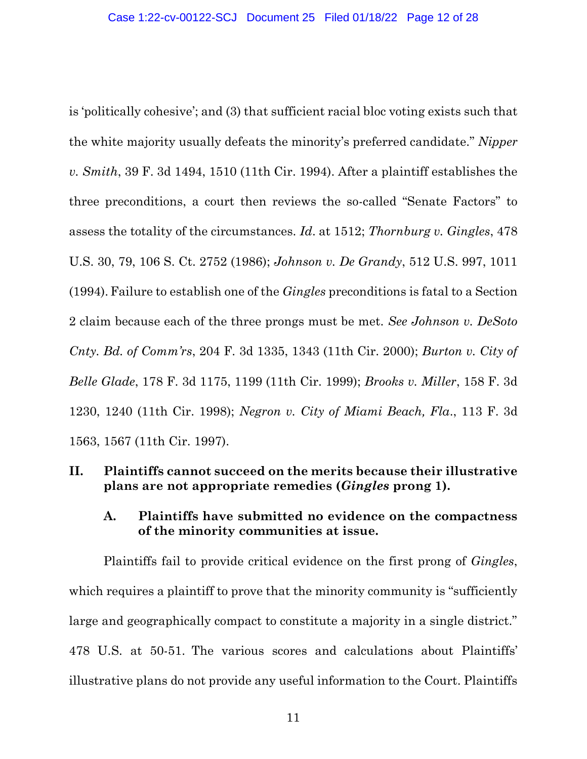is 'politically cohesive'; and (3) that sufficient racial bloc voting exists such that the white majority usually defeats the minority's preferred candidate." *Nipper v. Smith*, 39 F. 3d 1494, 1510 (11th Cir. 1994). After a plaintiff establishes the three preconditions, a court then reviews the so-called "Senate Factors" to assess the totality of the circumstances. *Id*. at 1512; *Thornburg v. Gingles*, 478 U.S. 30, 79, 106 S. Ct. 2752 (1986); *Johnson v. De Grandy*, 512 U.S. 997, 1011 (1994).Failure to establish one of the *Gingles* preconditions is fatal to a Section 2 claim because each of the three prongs must be met. *See Johnson v. DeSoto Cnty. Bd. of Comm'rs*, 204 F. 3d 1335, 1343 (11th Cir. 2000); *Burton v. City of Belle Glade*, 178 F. 3d 1175, 1199 (11th Cir. 1999); *Brooks v. Miller*, 158 F. 3d 1230, 1240 (11th Cir. 1998); *Negron v. City of Miami Beach, Fla*., 113 F. 3d 1563, 1567 (11th Cir. 1997).

## **II. Plaintiffs cannot succeed on the merits because their illustrative plans are not appropriate remedies (***Gingles* **prong 1).**

## **A. Plaintiffs have submitted no evidence on the compactness of the minority communities at issue.**

Plaintiffs fail to provide critical evidence on the first prong of *Gingles*, which requires a plaintiff to prove that the minority community is "sufficiently" large and geographically compact to constitute a majority in a single district." 478 U.S. at 50-51. The various scores and calculations about Plaintiffs' illustrative plans do not provide any useful information to the Court. Plaintiffs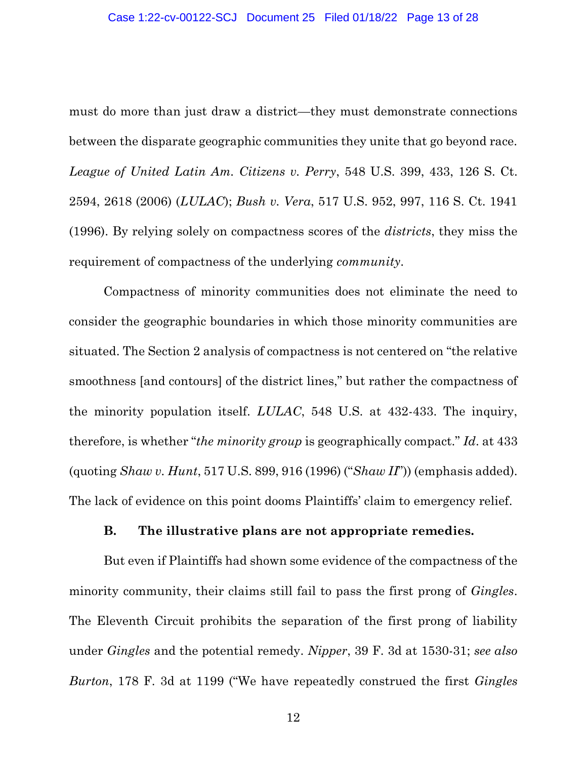must do more than just draw a district—they must demonstrate connections between the disparate geographic communities they unite that go beyond race. *League of United Latin Am. Citizens v. Perry*, 548 U.S. 399, 433, 126 S. Ct. 2594, 2618 (2006) (*LULAC*); *Bush v. Vera*, 517 U.S. 952, 997, 116 S. Ct. 1941 (1996). By relying solely on compactness scores of the *districts*, they miss the requirement of compactness of the underlying *community*.

Compactness of minority communities does not eliminate the need to consider the geographic boundaries in which those minority communities are situated. The Section 2 analysis of compactness is not centered on "the relative smoothness [and contours] of the district lines," but rather the compactness of the minority population itself. *LULAC*, 548 U.S. at 432-433. The inquiry, therefore, is whether "*the minority group* is geographically compact." *Id*. at 433 (quoting *Shaw v. Hunt*, 517 U.S. 899, 916 (1996) ("*Shaw II*")) (emphasis added). The lack of evidence on this point dooms Plaintiffs' claim to emergency relief.

### **B. The illustrative plans are not appropriate remedies.**

But even if Plaintiffs had shown some evidence of the compactness of the minority community, their claims still fail to pass the first prong of *Gingles*. The Eleventh Circuit prohibits the separation of the first prong of liability under *Gingles* and the potential remedy. *Nipper*, 39 F. 3d at 1530-31; *see also Burton*, 178 F. 3d at 1199 ("We have repeatedly construed the first *Gingles*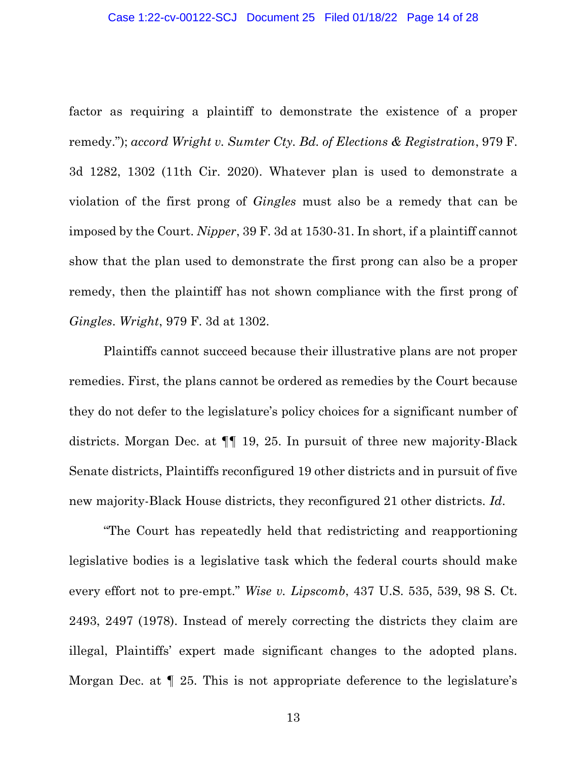factor as requiring a plaintiff to demonstrate the existence of a proper remedy."); *accord Wright v. Sumter Cty. Bd. of Elections & Registration*, 979 F. 3d 1282, 1302 (11th Cir. 2020). Whatever plan is used to demonstrate a violation of the first prong of *Gingles* must also be a remedy that can be imposed by the Court. *Nipper*, 39 F. 3d at 1530-31. In short, if a plaintiff cannot show that the plan used to demonstrate the first prong can also be a proper remedy, then the plaintiff has not shown compliance with the first prong of *Gingles*. *Wright*, 979 F. 3d at 1302.

Plaintiffs cannot succeed because their illustrative plans are not proper remedies. First, the plans cannot be ordered as remedies by the Court because they do not defer to the legislature's policy choices for a significant number of districts. Morgan Dec. at ¶¶ 19, 25. In pursuit of three new majority-Black Senate districts, Plaintiffs reconfigured 19 other districts and in pursuit of five new majority-Black House districts, they reconfigured 21 other districts. *Id*.

"The Court has repeatedly held that redistricting and reapportioning legislative bodies is a legislative task which the federal courts should make every effort not to pre-empt." *Wise v. Lipscomb*, 437 U.S. 535, 539, 98 S. Ct. 2493, 2497 (1978). Instead of merely correcting the districts they claim are illegal, Plaintiffs' expert made significant changes to the adopted plans. Morgan Dec. at ¶ 25. This is not appropriate deference to the legislature's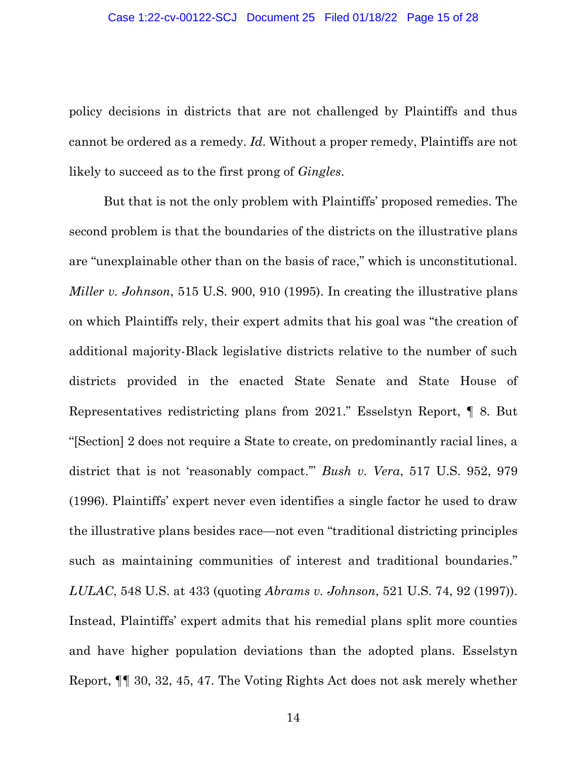policy decisions in districts that are not challenged by Plaintiffs and thus cannot be ordered as a remedy. *Id*. Without a proper remedy, Plaintiffs are not likely to succeed as to the first prong of *Gingles*.

But that is not the only problem with Plaintiffs' proposed remedies. The second problem is that the boundaries of the districts on the illustrative plans are "unexplainable other than on the basis of race," which is unconstitutional. *Miller v. Johnson*, 515 U.S. 900, 910 (1995). In creating the illustrative plans on which Plaintiffs rely, their expert admits that his goal was "the creation of additional majority-Black legislative districts relative to the number of such districts provided in the enacted State Senate and State House of Representatives redistricting plans from 2021." Esselstyn Report, ¶ 8. But "[Section] 2 does not require a State to create, on predominantly racial lines, a district that is not 'reasonably compact.'" *Bush v. Vera*, 517 U.S. 952, 979 (1996). Plaintiffs' expert never even identifies a single factor he used to draw the illustrative plans besides race—not even "traditional districting principles such as maintaining communities of interest and traditional boundaries." *LULAC*, 548 U.S. at 433 (quoting *Abrams v. Johnson*, 521 U.S. 74, 92 (1997)). Instead, Plaintiffs' expert admits that his remedial plans split more counties and have higher population deviations than the adopted plans. Esselstyn Report, ¶¶ 30, 32, 45, 47. The Voting Rights Act does not ask merely whether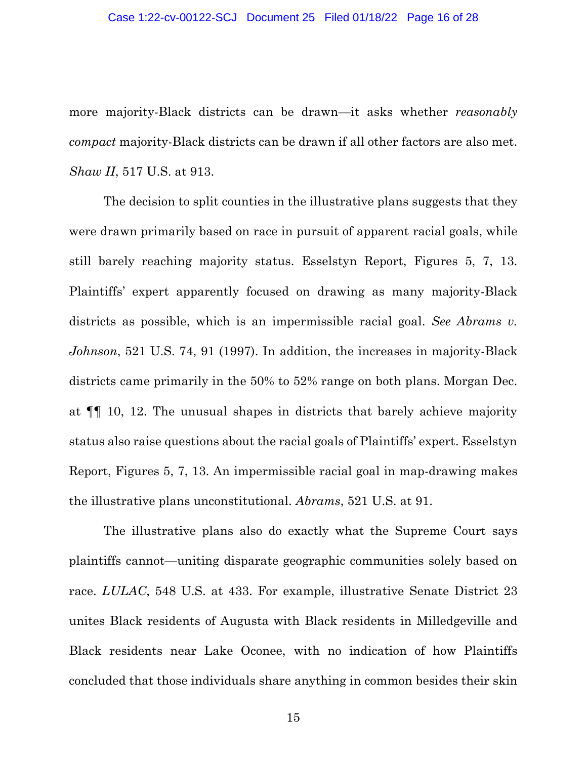more majority-Black districts can be drawn—it asks whether *reasonably compact* majority-Black districts can be drawn if all other factors are also met. *Shaw II*, 517 U.S. at 913.

The decision to split counties in the illustrative plans suggests that they were drawn primarily based on race in pursuit of apparent racial goals, while still barely reaching majority status. Esselstyn Report, Figures 5, 7, 13. Plaintiffs' expert apparently focused on drawing as many majority-Black districts as possible, which is an impermissible racial goal. *See Abrams v. Johnson*, 521 U.S. 74, 91 (1997). In addition, the increases in majority-Black districts came primarily in the 50% to 52% range on both plans. Morgan Dec. at ¶¶ 10, 12. The unusual shapes in districts that barely achieve majority status also raise questions about the racial goals of Plaintiffs' expert. Esselstyn Report, Figures 5, 7, 13. An impermissible racial goal in map-drawing makes the illustrative plans unconstitutional. *Abrams*, 521 U.S. at 91.

The illustrative plans also do exactly what the Supreme Court says plaintiffs cannot—uniting disparate geographic communities solely based on race. *LULAC*, 548 U.S. at 433. For example, illustrative Senate District 23 unites Black residents of Augusta with Black residents in Milledgeville and Black residents near Lake Oconee, with no indication of how Plaintiffs concluded that those individuals share anything in common besides their skin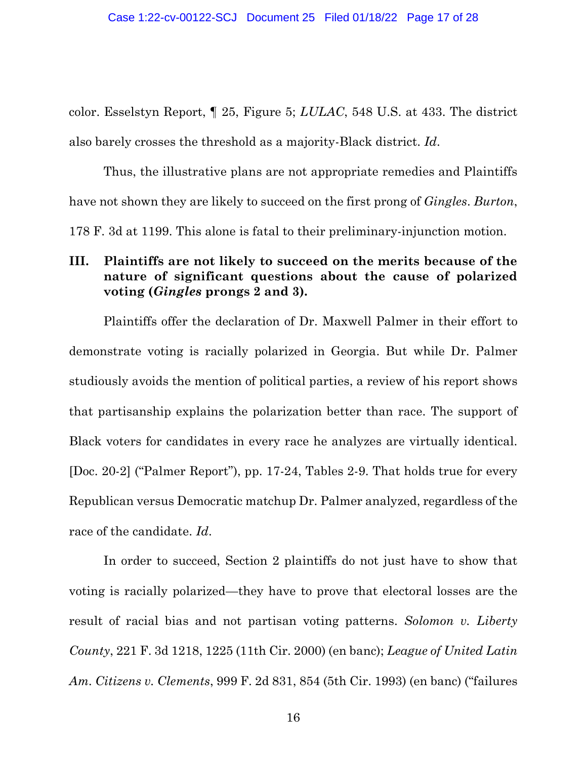color. Esselstyn Report, ¶ 25, Figure 5; *LULAC*, 548 U.S. at 433. The district also barely crosses the threshold as a majority-Black district. *Id*.

Thus, the illustrative plans are not appropriate remedies and Plaintiffs have not shown they are likely to succeed on the first prong of *Gingles*. *Burton*, 178 F. 3d at 1199. This alone is fatal to their preliminary-injunction motion.

## **III. Plaintiffs are not likely to succeed on the merits because of the nature of significant questions about the cause of polarized voting (***Gingles* **prongs 2 and 3).**

Plaintiffs offer the declaration of Dr. Maxwell Palmer in their effort to demonstrate voting is racially polarized in Georgia. But while Dr. Palmer studiously avoids the mention of political parties, a review of his report shows that partisanship explains the polarization better than race. The support of Black voters for candidates in every race he analyzes are virtually identical. [Doc. 20-2] ("Palmer Report"), pp. 17-24, Tables 2-9. That holds true for every Republican versus Democratic matchup Dr. Palmer analyzed, regardless of the race of the candidate. *Id*.

In order to succeed, Section 2 plaintiffs do not just have to show that voting is racially polarized—they have to prove that electoral losses are the result of racial bias and not partisan voting patterns. *Solomon v. Liberty County*, 221 F. 3d 1218, 1225 (11th Cir. 2000) (en banc); *League of United Latin Am. Citizens v. Clements*, 999 F. 2d 831, 854 (5th Cir. 1993) (en banc) ("failures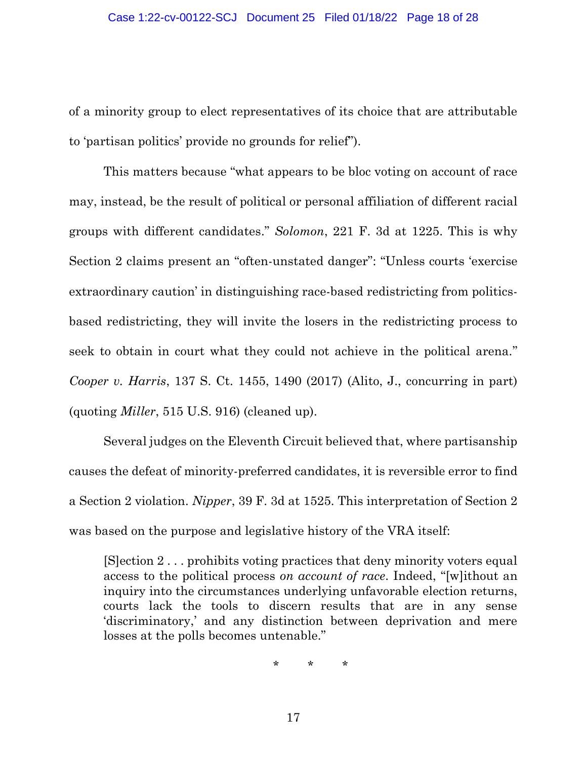of a minority group to elect representatives of its choice that are attributable to 'partisan politics' provide no grounds for relief").

This matters because "what appears to be bloc voting on account of race may, instead, be the result of political or personal affiliation of different racial groups with different candidates." *Solomon*, 221 F. 3d at 1225. This is why Section 2 claims present an "often-unstated danger": "Unless courts 'exercise extraordinary caution' in distinguishing race-based redistricting from politicsbased redistricting, they will invite the losers in the redistricting process to seek to obtain in court what they could not achieve in the political arena." *Cooper v. Harris*, 137 S. Ct. 1455, 1490 (2017) (Alito, J., concurring in part) (quoting *Miller*, 515 U.S. 916) (cleaned up).

Several judges on the Eleventh Circuit believed that, where partisanship causes the defeat of minority-preferred candidates, it is reversible error to find a Section 2 violation. *Nipper*, 39 F. 3d at 1525. This interpretation of Section 2 was based on the purpose and legislative history of the VRA itself:

[S]ection 2 . . . prohibits voting practices that deny minority voters equal access to the political process *on account of race*. Indeed, "[w]ithout an inquiry into the circumstances underlying unfavorable election returns, courts lack the tools to discern results that are in any sense 'discriminatory,' and any distinction between deprivation and mere losses at the polls becomes untenable."

\* \* \*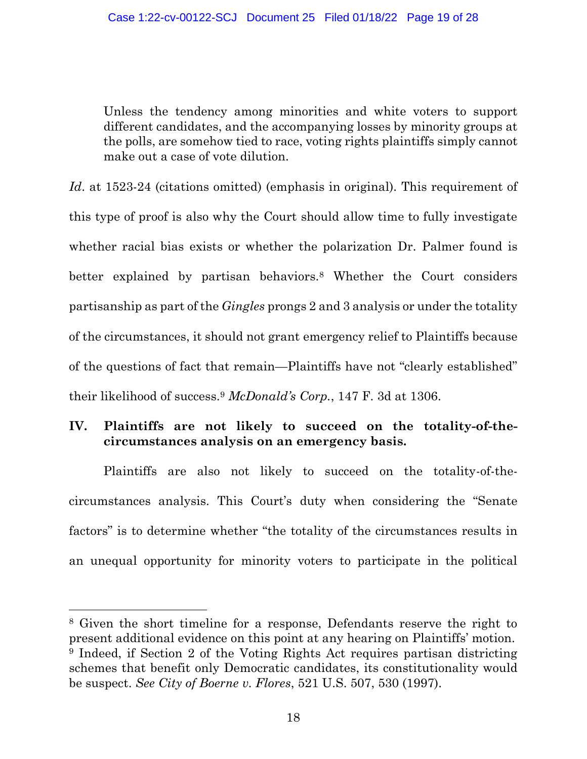Unless the tendency among minorities and white voters to support different candidates, and the accompanying losses by minority groups at the polls, are somehow tied to race, voting rights plaintiffs simply cannot make out a case of vote dilution.

*Id.* at 1523-24 (citations omitted) (emphasis in original). This requirement of this type of proof is also why the Court should allow time to fully investigate whether racial bias exists or whether the polarization Dr. Palmer found is better explained by partisan behaviors.<sup>8</sup> Whether the Court considers partisanship as part of the *Gingles* prongs 2 and 3 analysis or under the totality of the circumstances, it should not grant emergency relief to Plaintiffs because of the questions of fact that remain—Plaintiffs have not "clearly established" their likelihood of success.<sup>9</sup> *McDonald's Corp.*, 147 F. 3d at 1306.

# **IV. Plaintiffs are not likely to succeed on the totality-of-thecircumstances analysis on an emergency basis.**

Plaintiffs are also not likely to succeed on the totality-of-thecircumstances analysis. This Court's duty when considering the "Senate factors" is to determine whether "the totality of the circumstances results in an unequal opportunity for minority voters to participate in the political

<sup>8</sup> Given the short timeline for a response, Defendants reserve the right to present additional evidence on this point at any hearing on Plaintiffs' motion. <sup>9</sup> Indeed, if Section 2 of the Voting Rights Act requires partisan districting schemes that benefit only Democratic candidates, its constitutionality would be suspect. *See City of Boerne v. Flores*, 521 U.S. 507, 530 (1997).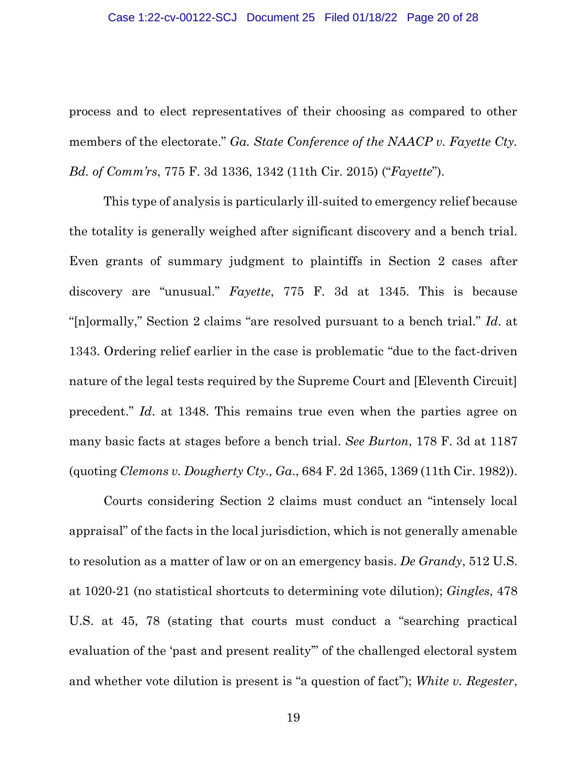process and to elect representatives of their choosing as compared to other members of the electorate." *Ga. State Conference of the NAACP v. Fayette Cty. Bd. of Comm'rs*, 775 F. 3d 1336, 1342 (11th Cir. 2015) ("*Fayette*").

This type of analysis is particularly ill-suited to emergency relief because the totality is generally weighed after significant discovery and a bench trial. Even grants of summary judgment to plaintiffs in Section 2 cases after discovery are "unusual." *Fayette*, 775 F. 3d at 1345. This is because "[n]ormally," Section 2 claims "are resolved pursuant to a bench trial." *Id*. at 1343. Ordering relief earlier in the case is problematic "due to the fact-driven nature of the legal tests required by the Supreme Court and [Eleventh Circuit] precedent." *Id*. at 1348. This remains true even when the parties agree on many basic facts at stages before a bench trial. *See Burton*, 178 F. 3d at 1187 (quoting *Clemons v. Dougherty Cty., Ga*., 684 F. 2d 1365, 1369 (11th Cir. 1982)).

Courts considering Section 2 claims must conduct an "intensely local appraisal" of the facts in the local jurisdiction, which is not generally amenable to resolution as a matter of law or on an emergency basis. *De Grandy*, 512 U.S. at 1020-21 (no statistical shortcuts to determining vote dilution); *Gingles*, 478 U.S. at 45, 78 (stating that courts must conduct a "searching practical evaluation of the 'past and present reality'" of the challenged electoral system and whether vote dilution is present is "a question of fact"); *White v. Regester*,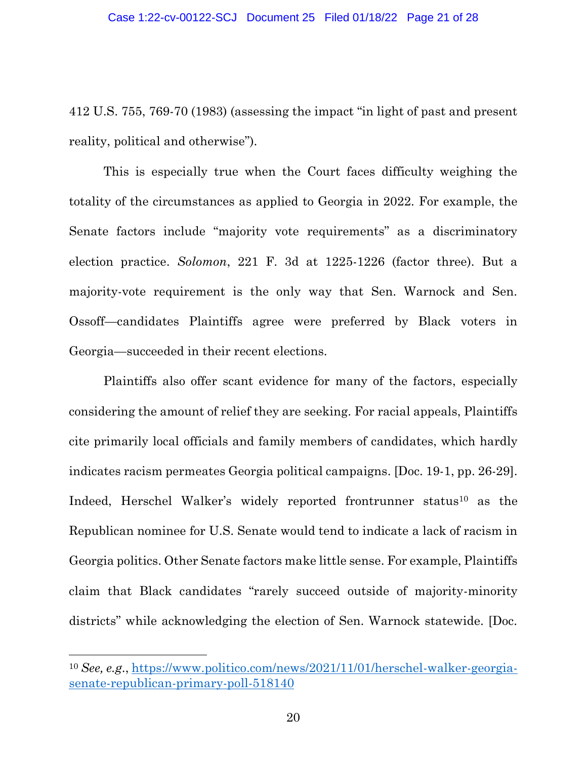412 U.S. 755, 769-70 (1983) (assessing the impact "in light of past and present reality, political and otherwise").

This is especially true when the Court faces difficulty weighing the totality of the circumstances as applied to Georgia in 2022. For example, the Senate factors include "majority vote requirements" as a discriminatory election practice. *Solomon*, 221 F. 3d at 1225-1226 (factor three). But a majority-vote requirement is the only way that Sen. Warnock and Sen. Ossoff—candidates Plaintiffs agree were preferred by Black voters in Georgia—succeeded in their recent elections.

Plaintiffs also offer scant evidence for many of the factors, especially considering the amount of relief they are seeking. For racial appeals, Plaintiffs cite primarily local officials and family members of candidates, which hardly indicates racism permeates Georgia political campaigns. [Doc. 19-1, pp. 26-29]. Indeed, Herschel Walker's widely reported frontrunner status<sup>10</sup> as the Republican nominee for U.S. Senate would tend to indicate a lack of racism in Georgia politics. Other Senate factors make little sense. For example, Plaintiffs claim that Black candidates "rarely succeed outside of majority-minority districts" while acknowledging the election of Sen. Warnock statewide. [Doc.

<sup>10</sup> *See, e.g*., [https://www.politico.com/news/2021/11/01/herschel-walker-georgia](https://www.politico.com/news/2021/11/01/herschel-walker-georgia-senate-republican-primary-poll-518140)[senate-republican-primary-poll-518140](https://www.politico.com/news/2021/11/01/herschel-walker-georgia-senate-republican-primary-poll-518140)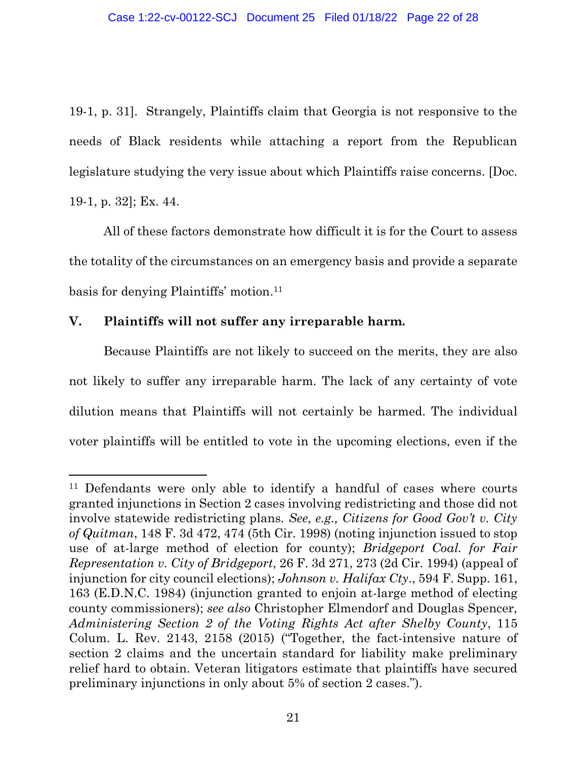19-1, p. 31]. Strangely, Plaintiffs claim that Georgia is not responsive to the needs of Black residents while attaching a report from the Republican legislature studying the very issue about which Plaintiffs raise concerns. [Doc. 19-1, p. 32]; Ex. 44.

All of these factors demonstrate how difficult it is for the Court to assess the totality of the circumstances on an emergency basis and provide a separate basis for denying Plaintiffs' motion. 11

## **V. Plaintiffs will not suffer any irreparable harm.**

Because Plaintiffs are not likely to succeed on the merits, they are also not likely to suffer any irreparable harm. The lack of any certainty of vote dilution means that Plaintiffs will not certainly be harmed. The individual voter plaintiffs will be entitled to vote in the upcoming elections, even if the

<sup>&</sup>lt;sup>11</sup> Defendants were only able to identify a handful of cases where courts granted injunctions in Section 2 cases involving redistricting and those did not involve statewide redistricting plans*. See, e.g., Citizens for Good Gov't v. City of Quitman*, 148 F. 3d 472, 474 (5th Cir. 1998) (noting injunction issued to stop use of at-large method of election for county); *Bridgeport Coal. for Fair Representation v. City of Bridgeport*, 26 F. 3d 271, 273 (2d Cir. 1994) (appeal of injunction for city council elections); *Johnson v. Halifax Cty*., 594 F. Supp. 161, 163 (E.D.N.C. 1984) (injunction granted to enjoin at-large method of electing county commissioners); *see also* Christopher Elmendorf and Douglas Spencer, *Administering Section 2 of the Voting Rights Act after Shelby County*, 115 Colum. L. Rev. 2143, 2158 (2015) ("Together, the fact-intensive nature of section 2 claims and the uncertain standard for liability make preliminary relief hard to obtain. Veteran litigators estimate that plaintiffs have secured preliminary injunctions in only about 5% of section 2 cases.").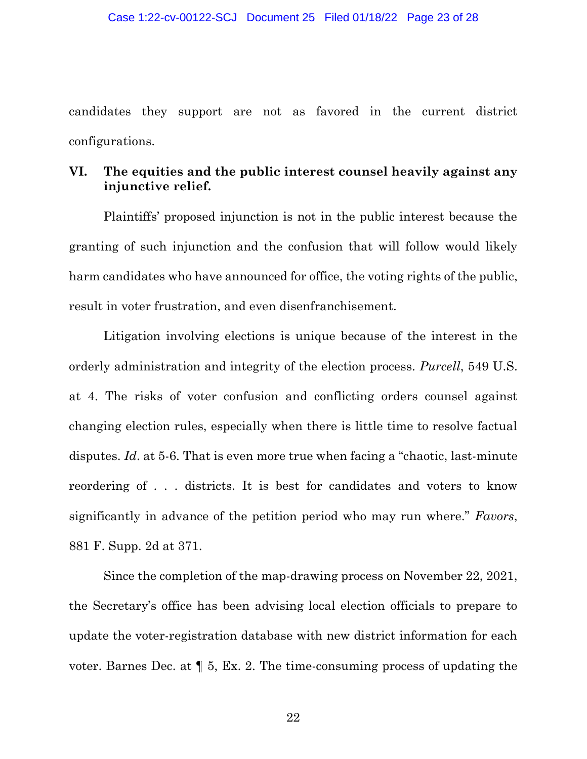candidates they support are not as favored in the current district configurations.

## **VI. The equities and the public interest counsel heavily against any injunctive relief.**

Plaintiffs' proposed injunction is not in the public interest because the granting of such injunction and the confusion that will follow would likely harm candidates who have announced for office, the voting rights of the public, result in voter frustration, and even disenfranchisement.

Litigation involving elections is unique because of the interest in the orderly administration and integrity of the election process. *Purcell*, 549 U.S. at 4. The risks of voter confusion and conflicting orders counsel against changing election rules, especially when there is little time to resolve factual disputes. *Id.* at 5-6. That is even more true when facing a "chaotic, last-minute" reordering of . . . districts. It is best for candidates and voters to know significantly in advance of the petition period who may run where." *Favors*, 881 F. Supp. 2d at 371.

Since the completion of the map-drawing process on November 22, 2021, the Secretary's office has been advising local election officials to prepare to update the voter-registration database with new district information for each voter. Barnes Dec. at ¶ 5, Ex. 2. The time-consuming process of updating the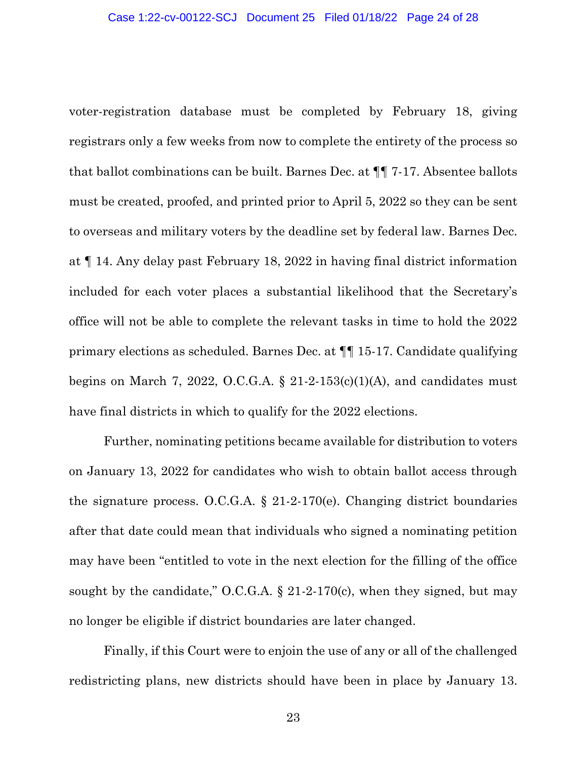voter-registration database must be completed by February 18, giving registrars only a few weeks from now to complete the entirety of the process so that ballot combinations can be built. Barnes Dec. at ¶¶ 7-17. Absentee ballots must be created, proofed, and printed prior to April 5, 2022 so they can be sent to overseas and military voters by the deadline set by federal law. Barnes Dec. at ¶ 14. Any delay past February 18, 2022 in having final district information included for each voter places a substantial likelihood that the Secretary's office will not be able to complete the relevant tasks in time to hold the 2022 primary elections as scheduled. Barnes Dec. at ¶¶ 15-17. Candidate qualifying begins on March 7, 2022, O.C.G.A.  $\S$  21-2-153(c)(1)(A), and candidates must have final districts in which to qualify for the 2022 elections.

Further, nominating petitions became available for distribution to voters on January 13, 2022 for candidates who wish to obtain ballot access through the signature process. O.C.G.A. § 21-2-170(e). Changing district boundaries after that date could mean that individuals who signed a nominating petition may have been "entitled to vote in the next election for the filling of the office sought by the candidate," O.C.G.A.  $\S 21-2-170(c)$ , when they signed, but may no longer be eligible if district boundaries are later changed.

Finally, if this Court were to enjoin the use of any or all of the challenged redistricting plans, new districts should have been in place by January 13.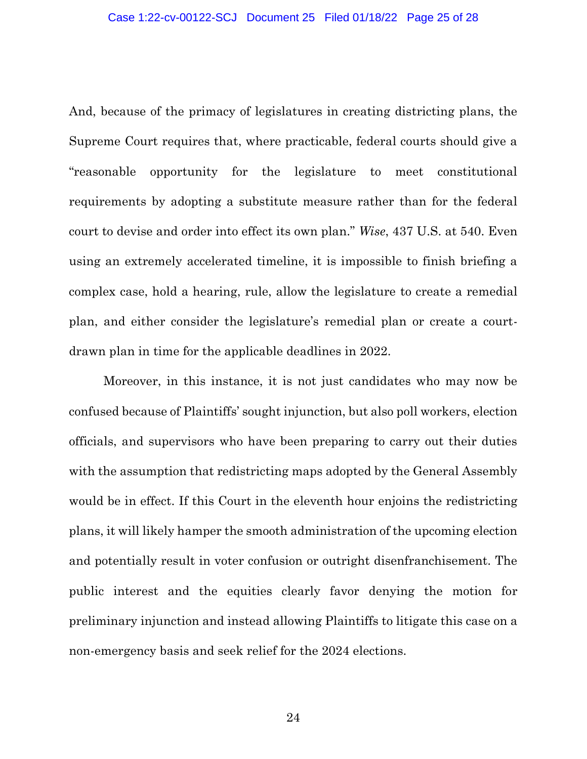And, because of the primacy of legislatures in creating districting plans, the Supreme Court requires that, where practicable, federal courts should give a "reasonable opportunity for the legislature to meet constitutional requirements by adopting a substitute measure rather than for the federal court to devise and order into effect its own plan." *Wise*, 437 U.S. at 540. Even using an extremely accelerated timeline, it is impossible to finish briefing a complex case, hold a hearing, rule, allow the legislature to create a remedial plan, and either consider the legislature's remedial plan or create a courtdrawn plan in time for the applicable deadlines in 2022.

Moreover, in this instance, it is not just candidates who may now be confused because of Plaintiffs' sought injunction, but also poll workers, election officials, and supervisors who have been preparing to carry out their duties with the assumption that redistricting maps adopted by the General Assembly would be in effect. If this Court in the eleventh hour enjoins the redistricting plans, it will likely hamper the smooth administration of the upcoming election and potentially result in voter confusion or outright disenfranchisement. The public interest and the equities clearly favor denying the motion for preliminary injunction and instead allowing Plaintiffs to litigate this case on a non-emergency basis and seek relief for the 2024 elections.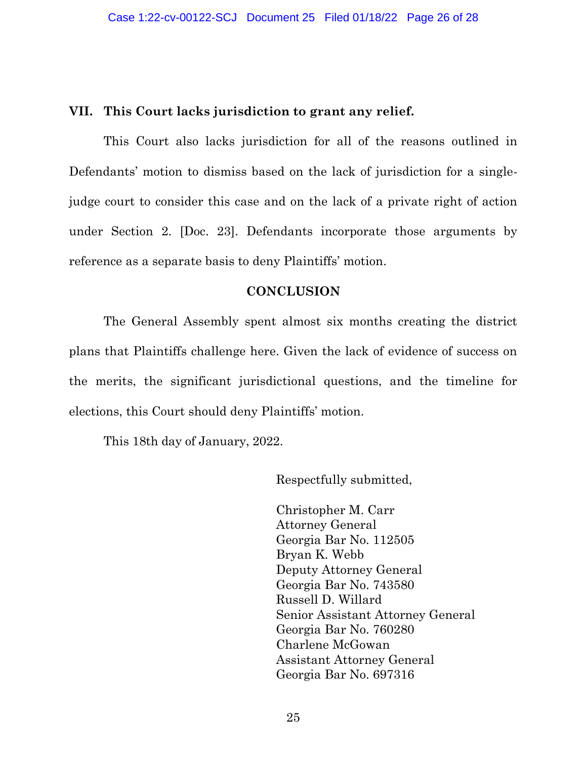### **VII. This Court lacks jurisdiction to grant any relief.**

This Court also lacks jurisdiction for all of the reasons outlined in Defendants' motion to dismiss based on the lack of jurisdiction for a singlejudge court to consider this case and on the lack of a private right of action under Section 2. [Doc. 23]. Defendants incorporate those arguments by reference as a separate basis to deny Plaintiffs' motion.

### **CONCLUSION**

The General Assembly spent almost six months creating the district plans that Plaintiffs challenge here. Given the lack of evidence of success on the merits, the significant jurisdictional questions, and the timeline for elections, this Court should deny Plaintiffs' motion.

This 18th day of January, 2022.

Respectfully submitted,

Christopher M. Carr Attorney General Georgia Bar No. 112505 Bryan K. Webb Deputy Attorney General Georgia Bar No. 743580 Russell D. Willard Senior Assistant Attorney General Georgia Bar No. 760280 Charlene McGowan Assistant Attorney General Georgia Bar No. 697316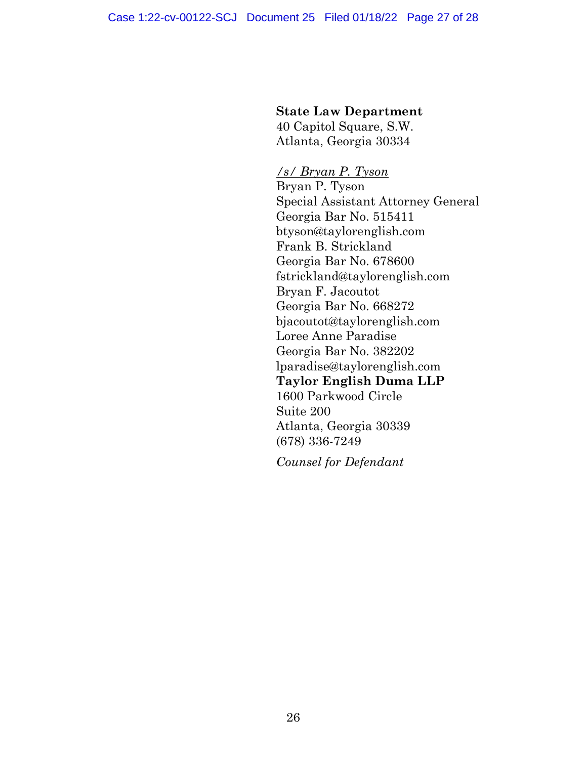### **State Law Department**

40 Capitol Square, S.W. Atlanta, Georgia 30334

*/s/ Bryan P. Tyson* Bryan P. Tyson Special Assistant Attorney General Georgia Bar No. 515411 btyson@taylorenglish.com Frank B. Strickland Georgia Bar No. 678600 fstrickland@taylorenglish.com Bryan F. Jacoutot Georgia Bar No. 668272 bjacoutot@taylorenglish.com Loree Anne Paradise Georgia Bar No. 382202 lparadise@taylorenglish.com **Taylor English Duma LLP** 1600 Parkwood Circle Suite 200 Atlanta, Georgia 30339 (678) 336-7249

*Counsel for Defendant*